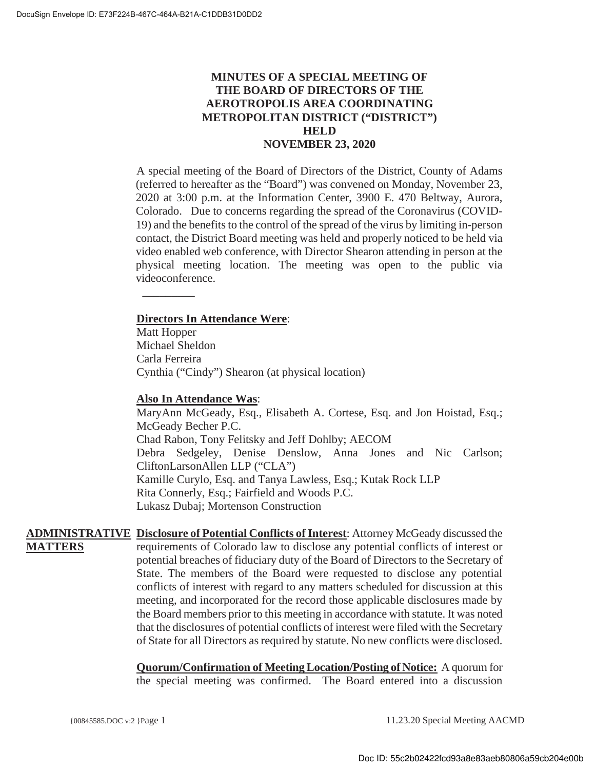# **MINUTES OF A SPECIAL MEETING OF THE BOARD OF DIRECTORS OF THE AEROTROPOLIS AREA COORDINATING METROPOLITAN DISTRICT ("DISTRICT") HELD NOVEMBER 23, 2020**

A special meeting of the Board of Directors of the District, County of Adams (referred to hereafter as the "Board") was convened on Monday, November 23, 2020 at 3:00 p.m. at the Information Center, 3900 E. 470 Beltway, Aurora, Colorado. Due to concerns regarding the spread of the Coronavirus (COVID-19) and the benefits to the control of the spread of the virus by limiting in-person contact, the District Board meeting was held and properly noticed to be held via video enabled web conference, with Director Shearon attending in person at the physical meeting location. The meeting was open to the public via videoconference.

#### **Directors In Attendance Were**:

 $\overline{\phantom{a}}$ 

Matt Hopper Michael Sheldon Carla Ferreira Cynthia ("Cindy") Shearon (at physical location)

#### **Also In Attendance Was**:

MaryAnn McGeady, Esq., Elisabeth A. Cortese, Esq. and Jon Hoistad, Esq.; McGeady Becher P.C. Chad Rabon, Tony Felitsky and Jeff Dohlby; AECOM Debra Sedgeley, Denise Denslow, Anna Jones and Nic Carlson; CliftonLarsonAllen LLP ("CLA") Kamille Curylo, Esq. and Tanya Lawless, Esq.; Kutak Rock LLP Rita Connerly, Esq.; Fairfield and Woods P.C. Lukasz Dubaj; Mortenson Construction

**ADMINISTRATIVE Disclosure of Potential Conflicts of Interest**: Attorney McGeady discussed the **MATTERS** requirements of Colorado law to disclose any potential conflicts of interest or potential breaches of fiduciary duty of the Board of Directors to the Secretary of State. The members of the Board were requested to disclose any potential conflicts of interest with regard to any matters scheduled for discussion at this meeting, and incorporated for the record those applicable disclosures made by the Board members prior to this meeting in accordance with statute. It was noted that the disclosures of potential conflicts of interest were filed with the Secretary of State for all Directors as required by statute. No new conflicts were disclosed.

> **Quorum/Confirmation of Meeting Location/Posting of Notice:** A quorum for the special meeting was confirmed. The Board entered into a discussion

{00845585.DOC v:2 }Page 1 11.23.20 Special Meeting AACMD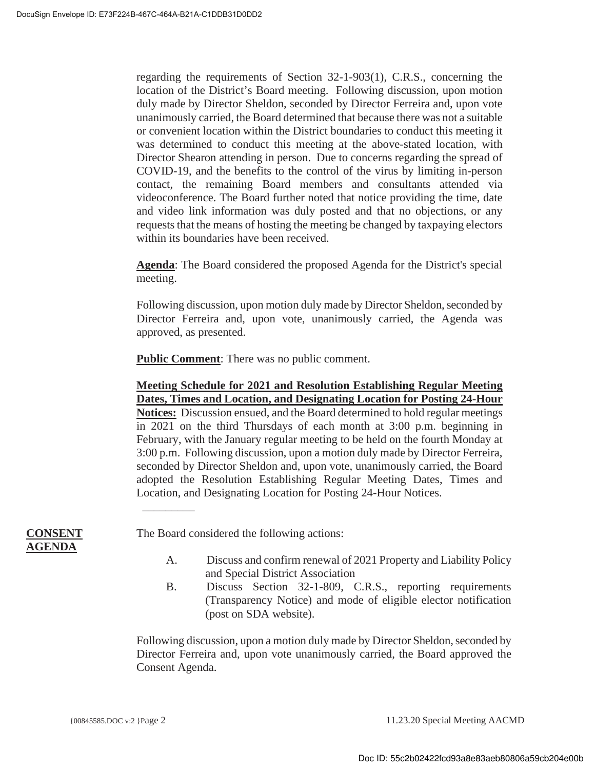regarding the requirements of Section 32-1-903(1), C.R.S., concerning the location of the District's Board meeting. Following discussion, upon motion duly made by Director Sheldon, seconded by Director Ferreira and, upon vote unanimously carried, the Board determined that because there was not a suitable or convenient location within the District boundaries to conduct this meeting it was determined to conduct this meeting at the above-stated location, with Director Shearon attending in person. Due to concerns regarding the spread of COVID-19, and the benefits to the control of the virus by limiting in-person contact, the remaining Board members and consultants attended via videoconference. The Board further noted that notice providing the time, date and video link information was duly posted and that no objections, or any requests that the means of hosting the meeting be changed by taxpaying electors within its boundaries have been received.

**Agenda**: The Board considered the proposed Agenda for the District's special meeting.

Following discussion, upon motion duly made by Director Sheldon, seconded by Director Ferreira and, upon vote, unanimously carried, the Agenda was approved, as presented.

**Public Comment**: There was no public comment.

**Meeting Schedule for 2021 and Resolution Establishing Regular Meeting Dates, Times and Location, and Designating Location for Posting 24-Hour Notices:** Discussion ensued, and the Board determined to hold regular meetings in 2021 on the third Thursdays of each month at 3:00 p.m. beginning in February, with the January regular meeting to be held on the fourth Monday at 3:00 p.m. Following discussion, upon a motion duly made by Director Ferreira, seconded by Director Sheldon and, upon vote, unanimously carried, the Board adopted the Resolution Establishing Regular Meeting Dates, Times and Location, and Designating Location for Posting 24-Hour Notices.

**CONSENT AGENDA**

The Board considered the following actions:

 $\overline{\phantom{a}}$ 

- A. Discuss and confirm renewal of 2021 Property and Liability Policy and Special District Association
- B. Discuss Section 32-1-809, C.R.S., reporting requirements (Transparency Notice) and mode of eligible elector notification (post on SDA website).

Following discussion, upon a motion duly made by Director Sheldon, seconded by Director Ferreira and, upon vote unanimously carried, the Board approved the Consent Agenda.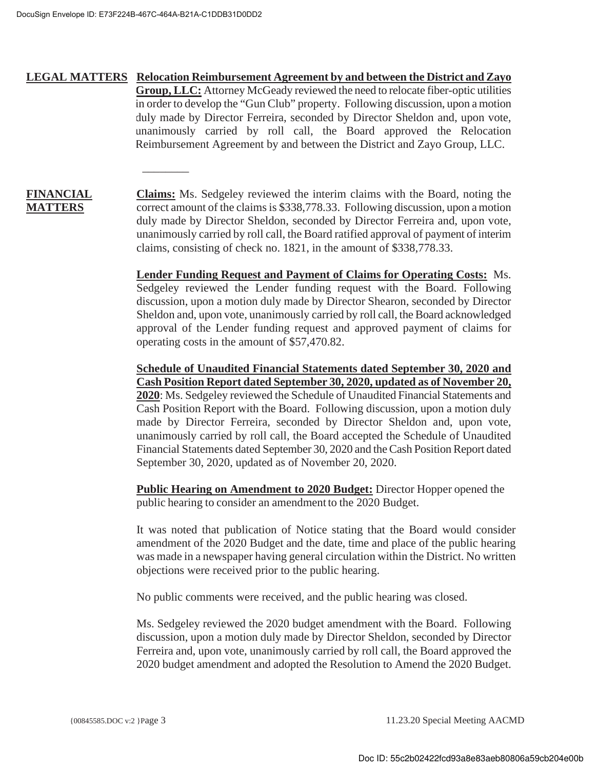$\overline{\phantom{a}}$ 

# **LEGAL MATTERS Relocation Reimbursement Agreement by and between the District and Zayo Group, LLC:** Attorney McGeady reviewed the need to relocate fiber-optic utilities in order to develop the "Gun Club" property. Following discussion, upon a motion duly made by Director Ferreira, seconded by Director Sheldon and, upon vote, unanimously carried by roll call, the Board approved the Relocation Reimbursement Agreement by and between the District and Zayo Group, LLC.

# **FINANCIAL MATTERS**

**Claims:** Ms. Sedgeley reviewed the interim claims with the Board, noting the correct amount of the claims is \$338,778.33. Following discussion, upon a motion duly made by Director Sheldon, seconded by Director Ferreira and, upon vote, unanimously carried by roll call, the Board ratified approval of payment of interim claims, consisting of check no. 1821, in the amount of \$338,778.33.

**Lender Funding Request and Payment of Claims for Operating Costs:** Ms. Sedgeley reviewed the Lender funding request with the Board. Following discussion, upon a motion duly made by Director Shearon, seconded by Director Sheldon and, upon vote, unanimously carried by roll call, the Board acknowledged approval of the Lender funding request and approved payment of claims for operating costs in the amount of \$57,470.82.

**Schedule of Unaudited Financial Statements dated September 30, 2020 and Cash Position Report dated September 30, 2020, updated as of November 20, 2020**: Ms. Sedgeley reviewed the Schedule of Unaudited Financial Statements and Cash Position Report with the Board. Following discussion, upon a motion duly made by Director Ferreira, seconded by Director Sheldon and, upon vote, unanimously carried by roll call, the Board accepted the Schedule of Unaudited Financial Statements dated September 30, 2020 and the Cash Position Report dated September 30, 2020, updated as of November 20, 2020.

**Public Hearing on Amendment to 2020 Budget:** Director Hopper opened the public hearing to consider an amendment to the 2020 Budget.

It was noted that publication of Notice stating that the Board would consider amendment of the 2020 Budget and the date, time and place of the public hearing was made in a newspaper having general circulation within the District. No written objections were received prior to the public hearing.

No public comments were received, and the public hearing was closed.

Ms. Sedgeley reviewed the 2020 budget amendment with the Board. Following discussion, upon a motion duly made by Director Sheldon, seconded by Director Ferreira and, upon vote, unanimously carried by roll call, the Board approved the 2020 budget amendment and adopted the Resolution to Amend the 2020 Budget.

{00845585.DOC v:2 }Page 3 11.23.20 Special Meeting AACMD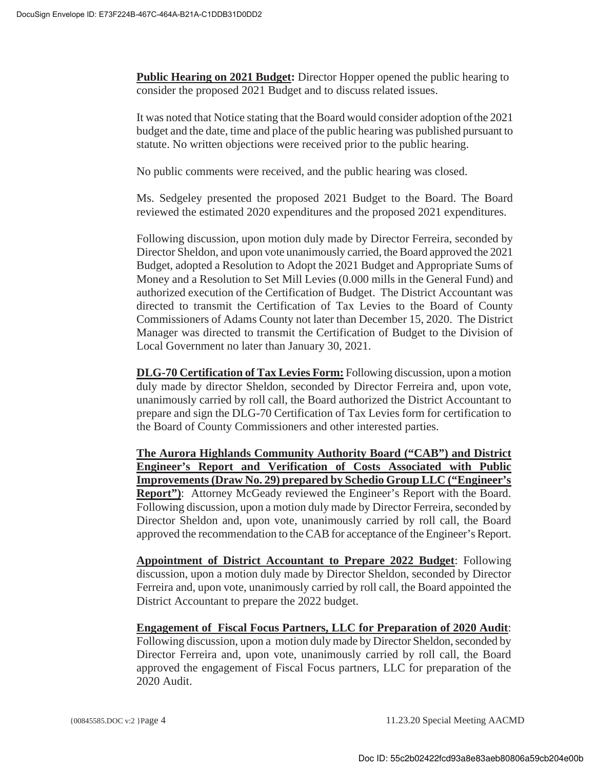**Public Hearing on 2021 Budget:** Director Hopper opened the public hearing to consider the proposed 2021 Budget and to discuss related issues.

It was noted that Notice stating that the Board would consider adoption ofthe 2021 budget and the date, time and place of the public hearing was published pursuant to statute. No written objections were received prior to the public hearing.

No public comments were received, and the public hearing was closed.

Ms. Sedgeley presented the proposed 2021 Budget to the Board. The Board reviewed the estimated 2020 expenditures and the proposed 2021 expenditures.

Following discussion, upon motion duly made by Director Ferreira, seconded by Director Sheldon, and upon vote unanimously carried, the Board approved the 2021 Budget, adopted a Resolution to Adopt the 2021 Budget and Appropriate Sums of Money and a Resolution to Set Mill Levies (0.000 mills in the General Fund) and authorized execution of the Certification of Budget. The District Accountant was directed to transmit the Certification of Tax Levies to the Board of County Commissioners of Adams County not later than December 15, 2020. The District Manager was directed to transmit the Certification of Budget to the Division of Local Government no later than January 30, 2021.

**DLG-70 Certification of Tax Levies Form:** Following discussion, upon a motion duly made by director Sheldon, seconded by Director Ferreira and, upon vote, unanimously carried by roll call, the Board authorized the District Accountant to prepare and sign the DLG-70 Certification of Tax Levies form for certification to the Board of County Commissioners and other interested parties.

**The Aurora Highlands Community Authority Board ("CAB") and District Engineer's Report and Verification of Costs Associated with Public Improvements (Draw No. 29) prepared by Schedio Group LLC ("Engineer's Report"**): Attorney McGeady reviewed the Engineer's Report with the Board. Following discussion, upon a motion duly made by Director Ferreira, seconded by Director Sheldon and, upon vote, unanimously carried by roll call, the Board approved the recommendation to the CAB for acceptance of the Engineer's Report.

**Appointment of District Accountant to Prepare 2022 Budget**: Following discussion, upon a motion duly made by Director Sheldon, seconded by Director Ferreira and, upon vote, unanimously carried by roll call, the Board appointed the District Accountant to prepare the 2022 budget.

**Engagement of Fiscal Focus Partners, LLC for Preparation of 2020 Audit**:

Following discussion, upon a motion duly made by Director Sheldon, seconded by Director Ferreira and, upon vote, unanimously carried by roll call, the Board approved the engagement of Fiscal Focus partners, LLC for preparation of the 2020 Audit.

{00845585.DOC v:2 }Page 4 11.23.20 Special Meeting AACMD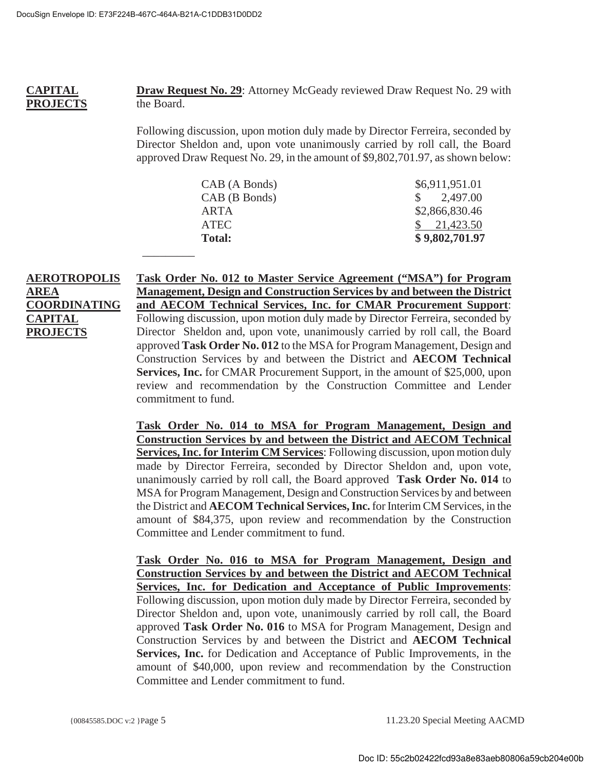$\overline{\phantom{a}}$  . The contract of the contract of  $\overline{\phantom{a}}$ 

#### **CAPITAL PROJECTS Draw Request No. 29**: Attorney McGeady reviewed Draw Request No. 29 with the Board.

Following discussion, upon motion duly made by Director Ferreira, seconded by Director Sheldon and, upon vote unanimously carried by roll call, the Board approved Draw Request No. 29, in the amount of \$9,802,701.97, as shown below:

| CAB (A Bonds) | \$6,911,951.01        |
|---------------|-----------------------|
| CAB (B Bonds) | $\frac{\$}{2,497.00}$ |
| ARTA          | \$2,866,830.46        |
| <b>ATEC</b>   | $\frac{$}{21,423.50}$ |
| Total:        | \$9,802,701.97        |

# **AEROTROPOLIS AREA COORDINATING CAPITAL PROJECTS**

**Task Order No. 012 to Master Service Agreement ("MSA") for Program Management, Design and Construction Services by and between the District and AECOM Technical Services, Inc. for CMAR Procurement Support**: Following discussion, upon motion duly made by Director Ferreira, seconded by Director Sheldon and, upon vote, unanimously carried by roll call, the Board approved **Task Order No. 012** to the MSA for Program Management, Design and Construction Services by and between the District and **AECOM Technical Services, Inc.** for CMAR Procurement Support, in the amount of \$25,000, upon review and recommendation by the Construction Committee and Lender commitment to fund.

**Task Order No. 014 to MSA for Program Management, Design and Construction Services by and between the District and AECOM Technical Services, Inc. for Interim CM Services**: Following discussion, upon motion duly made by Director Ferreira, seconded by Director Sheldon and, upon vote, unanimously carried by roll call, the Board approved **Task Order No. 014** to MSA for Program Management, Design and Construction Services by and between the District and **AECOM Technical Services, Inc.** for Interim CM Services, in the amount of \$84,375, upon review and recommendation by the Construction Committee and Lender commitment to fund.

**Task Order No. 016 to MSA for Program Management, Design and Construction Services by and between the District and AECOM Technical Services, Inc. for Dedication and Acceptance of Public Improvements**: Following discussion, upon motion duly made by Director Ferreira, seconded by Director Sheldon and, upon vote, unanimously carried by roll call, the Board approved **Task Order No. 016** to MSA for Program Management, Design and Construction Services by and between the District and **AECOM Technical Services, Inc.** for Dedication and Acceptance of Public Improvements, in the amount of \$40,000, upon review and recommendation by the Construction Committee and Lender commitment to fund.

{00845585.DOC v:2 }Page 5 11.23.20 Special Meeting AACMD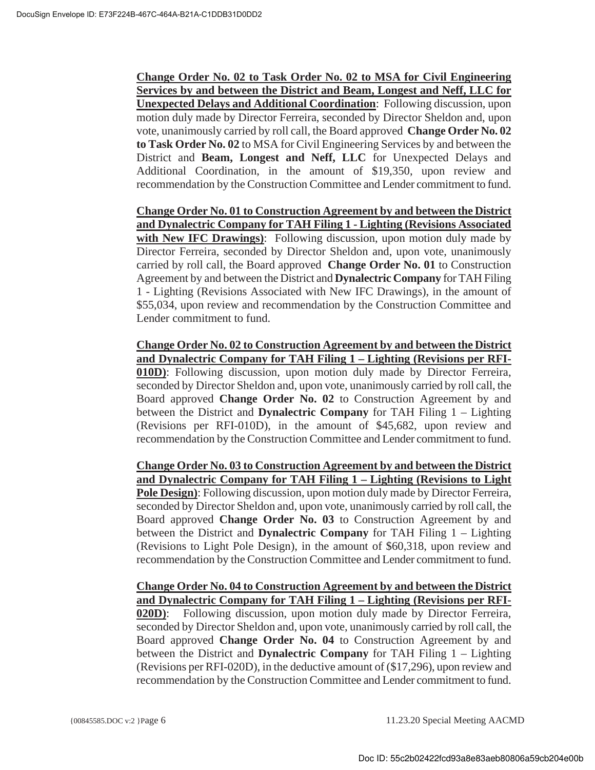**Change Order No. 02 to Task Order No. 02 to MSA for Civil Engineering Services by and between the District and Beam, Longest and Neff, LLC for Unexpected Delays and Additional Coordination**: Following discussion, upon motion duly made by Director Ferreira, seconded by Director Sheldon and, upon vote, unanimously carried by roll call, the Board approved **Change Order No. 02 to Task Order No. 02** to MSA for Civil Engineering Services by and between the District and **Beam, Longest and Neff, LLC** for Unexpected Delays and Additional Coordination, in the amount of \$19,350, upon review and recommendation by the Construction Committee and Lender commitment to fund.

**Change Order No. 01 to Construction Agreement by and between the District and Dynalectric Company for TAH Filing 1 - Lighting (Revisions Associated with New IFC Drawings)**: Following discussion, upon motion duly made by Director Ferreira, seconded by Director Sheldon and, upon vote, unanimously carried by roll call, the Board approved **Change Order No. 01** to Construction Agreement by and between the District and **Dynalectric Company** for TAH Filing 1 - Lighting (Revisions Associated with New IFC Drawings), in the amount of \$55,034, upon review and recommendation by the Construction Committee and Lender commitment to fund.

**Change Order No. 02 to Construction Agreement by and between the District and Dynalectric Company for TAH Filing 1 – Lighting (Revisions per RFI-010D)**: Following discussion, upon motion duly made by Director Ferreira, seconded by Director Sheldon and, upon vote, unanimously carried by roll call, the Board approved **Change Order No. 02** to Construction Agreement by and between the District and **Dynalectric Company** for TAH Filing 1 – Lighting (Revisions per RFI-010D), in the amount of \$45,682, upon review and recommendation by the Construction Committee and Lender commitment to fund.

**Change Order No. 03 to Construction Agreement by and between the District and Dynalectric Company for TAH Filing 1 – Lighting (Revisions to Light Pole Design)**: Following discussion, upon motion duly made by Director Ferreira, seconded by Director Sheldon and, upon vote, unanimously carried by roll call, the Board approved **Change Order No. 03** to Construction Agreement by and between the District and **Dynalectric Company** for TAH Filing 1 – Lighting (Revisions to Light Pole Design), in the amount of \$60,318, upon review and recommendation by the Construction Committee and Lender commitment to fund.

**Change Order No. 04 to Construction Agreement by and between the District and Dynalectric Company for TAH Filing 1 – Lighting (Revisions per RFI-020D)**: Following discussion, upon motion duly made by Director Ferreira, seconded by Director Sheldon and, upon vote, unanimously carried by roll call, the Board approved **Change Order No. 04** to Construction Agreement by and between the District and **Dynalectric Company** for TAH Filing 1 – Lighting (Revisions per RFI-020D), in the deductive amount of (\$17,296), upon review and recommendation by the Construction Committee and Lender commitment to fund.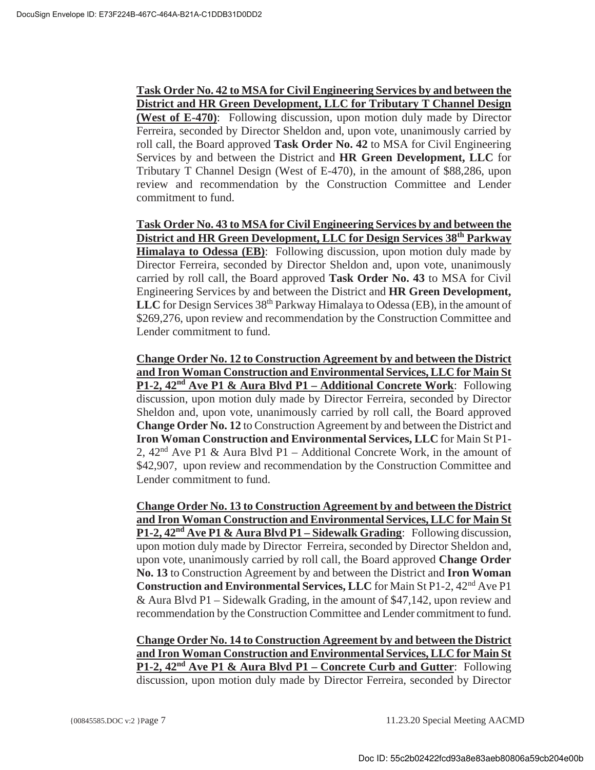**Task Order No. 42 to MSA for Civil Engineering Services by and between the District and HR Green Development, LLC for Tributary T Channel Design (West of E-470)**: Following discussion, upon motion duly made by Director Ferreira, seconded by Director Sheldon and, upon vote, unanimously carried by roll call, the Board approved **Task Order No. 42** to MSA for Civil Engineering Services by and between the District and **HR Green Development, LLC** for Tributary T Channel Design (West of E-470), in the amount of \$88,286, upon review and recommendation by the Construction Committee and Lender commitment to fund.

**Task Order No. 43 to MSA for Civil Engineering Services by and between the District and HR Green Development, LLC for Design Services 38th Parkway Himalaya to Odessa (EB)**: Following discussion, upon motion duly made by Director Ferreira, seconded by Director Sheldon and, upon vote, unanimously carried by roll call, the Board approved **Task Order No. 43** to MSA for Civil Engineering Services by and between the District and **HR Green Development,**  LLC for Design Services 38<sup>th</sup> Parkway Himalaya to Odessa (EB), in the amount of \$269,276, upon review and recommendation by the Construction Committee and Lender commitment to fund.

**Change Order No. 12 to Construction Agreement by and between the District and Iron Woman Construction and Environmental Services, LLC for Main St P1-2, 42nd Ave P1 & Aura Blvd P1 – Additional Concrete Work**: Following discussion, upon motion duly made by Director Ferreira, seconded by Director Sheldon and, upon vote, unanimously carried by roll call, the Board approved **Change Order No. 12** to Construction Agreement by and between the District and **Iron Woman Construction and Environmental Services, LLC** for Main St P1- 2,  $42<sup>nd</sup>$  Ave P1 & Aura Blvd P1 – Additional Concrete Work, in the amount of \$42,907, upon review and recommendation by the Construction Committee and Lender commitment to fund.

**Change Order No. 13 to Construction Agreement by and between the District and Iron Woman Construction and Environmental Services, LLC for Main St P1-2, 42nd Ave P1 & Aura Blvd P1 – Sidewalk Grading**: Following discussion, upon motion duly made by Director Ferreira, seconded by Director Sheldon and, upon vote, unanimously carried by roll call, the Board approved **Change Order No. 13** to Construction Agreement by and between the District and **Iron Woman Construction and Environmental Services, LLC** for Main St P1-2, 42nd Ave P1 & Aura Blvd P1 – Sidewalk Grading, in the amount of \$47,142, upon review and recommendation by the Construction Committee and Lender commitment to fund.

**Change Order No. 14 to Construction Agreement by and between the District and Iron Woman Construction and Environmental Services, LLC for Main St P1-2, 42nd Ave P1 & Aura Blvd P1 – Concrete Curb and Gutter**: Following discussion, upon motion duly made by Director Ferreira, seconded by Director

{00845585.DOC v:2 }Page 7 11.23.20 Special Meeting AACMD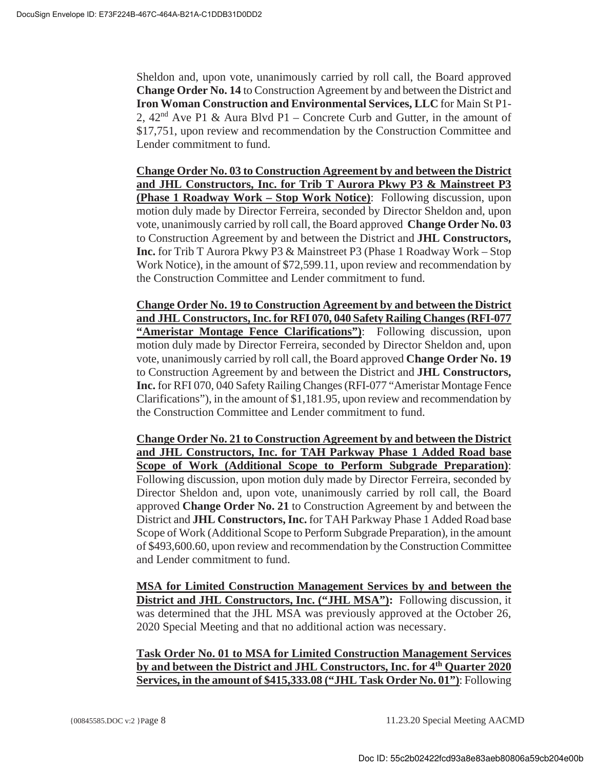Sheldon and, upon vote, unanimously carried by roll call, the Board approved **Change Order No. 14** to Construction Agreement by and between the District and **Iron Woman Construction and Environmental Services, LLC** for Main St P1- 2,  $42<sup>nd</sup>$  Ave P1 & Aura Blvd P1 – Concrete Curb and Gutter, in the amount of \$17,751, upon review and recommendation by the Construction Committee and Lender commitment to fund.

**Change Order No. 03 to Construction Agreement by and between the District and JHL Constructors, Inc. for Trib T Aurora Pkwy P3 & Mainstreet P3 (Phase 1 Roadway Work – Stop Work Notice)**: Following discussion, upon motion duly made by Director Ferreira, seconded by Director Sheldon and, upon vote, unanimously carried by roll call, the Board approved **Change Order No. 03** to Construction Agreement by and between the District and **JHL Constructors, Inc.** for Trib T Aurora Pkwy P3 & Mainstreet P3 (Phase 1 Roadway Work – Stop Work Notice), in the amount of \$72,599.11, upon review and recommendation by the Construction Committee and Lender commitment to fund.

**Change Order No. 19 to Construction Agreement by and between the District and JHL Constructors, Inc. for RFI 070, 040 Safety Railing Changes (RFI-077 "Ameristar Montage Fence Clarifications")**: Following discussion, upon motion duly made by Director Ferreira, seconded by Director Sheldon and, upon vote, unanimously carried by roll call, the Board approved **Change Order No. 19** to Construction Agreement by and between the District and **JHL Constructors, Inc.** for RFI 070, 040 Safety Railing Changes (RFI-077 "Ameristar Montage Fence Clarifications"), in the amount of \$1,181.95, upon review and recommendation by the Construction Committee and Lender commitment to fund.

**Change Order No. 21 to Construction Agreement by and between the District and JHL Constructors, Inc. for TAH Parkway Phase 1 Added Road base Scope of Work (Additional Scope to Perform Subgrade Preparation)**: Following discussion, upon motion duly made by Director Ferreira, seconded by Director Sheldon and, upon vote, unanimously carried by roll call, the Board approved **Change Order No. 21** to Construction Agreement by and between the District and **JHL Constructors, Inc.** for TAH Parkway Phase 1 Added Road base Scope of Work (Additional Scope to Perform Subgrade Preparation), in the amount of \$493,600.60, upon review and recommendation by the Construction Committee and Lender commitment to fund.

**MSA for Limited Construction Management Services by and between the District and JHL Constructors, Inc. ("JHL MSA"):** Following discussion, it was determined that the JHL MSA was previously approved at the October 26, 2020 Special Meeting and that no additional action was necessary.

# **Task Order No. 01 to MSA for Limited Construction Management Services by and between the District and JHL Constructors, Inc. for 4th Quarter 2020 Services, in the amount of \$415,333.08 ("JHL Task Order No. 01")**: Following

{00845585.DOC v:2 }Page 8 11.23.20 Special Meeting AACMD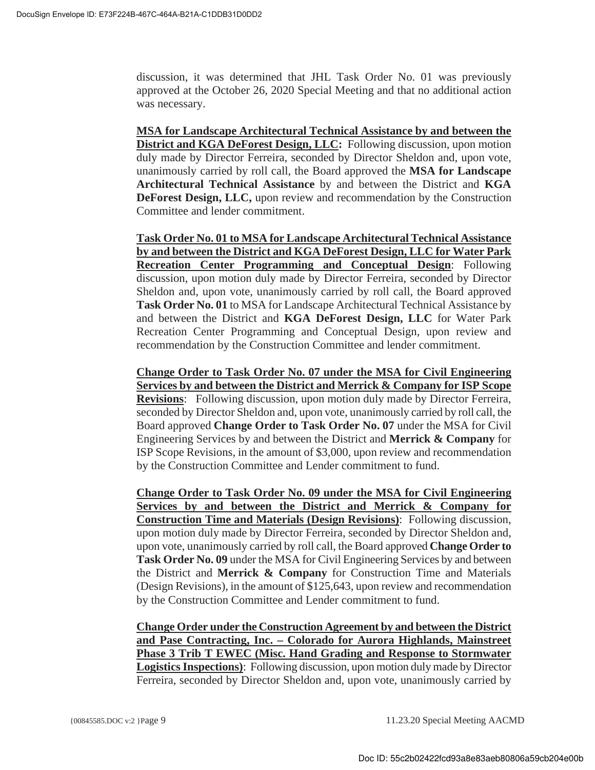discussion, it was determined that JHL Task Order No. 01 was previously approved at the October 26, 2020 Special Meeting and that no additional action was necessary.

**MSA for Landscape Architectural Technical Assistance by and between the District and KGA DeForest Design, LLC:** Following discussion, upon motion duly made by Director Ferreira, seconded by Director Sheldon and, upon vote, unanimously carried by roll call, the Board approved the **MSA for Landscape Architectural Technical Assistance** by and between the District and **KGA DeForest Design, LLC,** upon review and recommendation by the Construction Committee and lender commitment.

**Task Order No. 01 to MSA for Landscape Architectural Technical Assistance by and between the District and KGA DeForest Design, LLC for Water Park Recreation Center Programming and Conceptual Design**: Following discussion, upon motion duly made by Director Ferreira, seconded by Director Sheldon and, upon vote, unanimously carried by roll call, the Board approved **Task Order No. 01** to MSA for Landscape Architectural Technical Assistance by and between the District and **KGA DeForest Design, LLC** for Water Park Recreation Center Programming and Conceptual Design, upon review and recommendation by the Construction Committee and lender commitment.

**Change Order to Task Order No. 07 under the MSA for Civil Engineering Services by and between the District and Merrick & Company for ISP Scope Revisions**: Following discussion, upon motion duly made by Director Ferreira, seconded by Director Sheldon and, upon vote, unanimously carried by roll call, the Board approved **Change Order to Task Order No. 07** under the MSA for Civil Engineering Services by and between the District and **Merrick & Company** for ISP Scope Revisions, in the amount of \$3,000, upon review and recommendation by the Construction Committee and Lender commitment to fund.

**Change Order to Task Order No. 09 under the MSA for Civil Engineering Services by and between the District and Merrick & Company for Construction Time and Materials (Design Revisions)**: Following discussion, upon motion duly made by Director Ferreira, seconded by Director Sheldon and, upon vote, unanimously carried by roll call, the Board approved **Change Order to Task Order No. 09** under the MSA for Civil Engineering Services by and between the District and **Merrick & Company** for Construction Time and Materials (Design Revisions), in the amount of \$125,643, upon review and recommendation by the Construction Committee and Lender commitment to fund.

**Change Order under the Construction Agreement by and between the District and Pase Contracting, Inc. – Colorado for Aurora Highlands, Mainstreet Phase 3 Trib T EWEC (Misc. Hand Grading and Response to Stormwater Logistics Inspections)**: Following discussion, upon motion duly made by Director Ferreira, seconded by Director Sheldon and, upon vote, unanimously carried by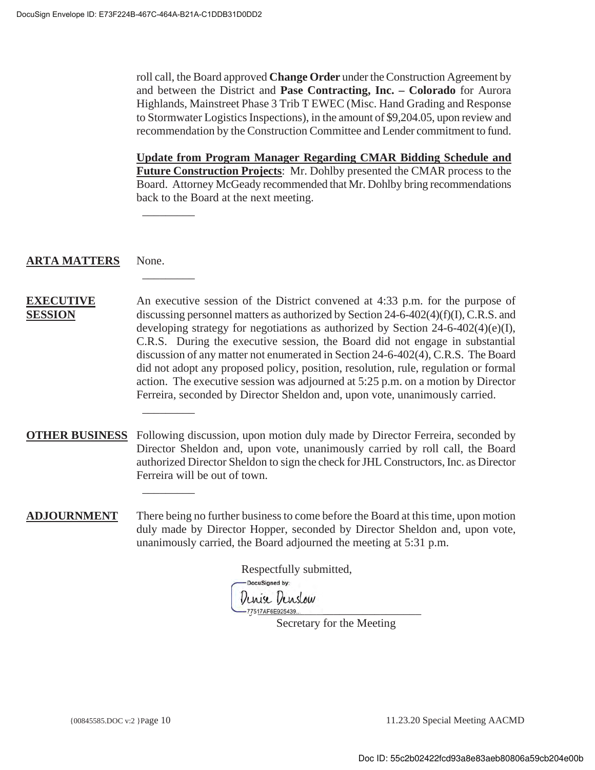$\overline{\phantom{a}}$ 

 $\overline{\phantom{a}}$ 

 $\overline{\phantom{a}}$ 

 $\overline{\phantom{a}}$ 

roll call, the Board approved **Change Order** under the Construction Agreement by and between the District and **Pase Contracting, Inc. – Colorado** for Aurora Highlands, Mainstreet Phase 3 Trib T EWEC (Misc. Hand Grading and Response to Stormwater Logistics Inspections), in the amount of \$9,204.05, upon review and recommendation by the Construction Committee and Lender commitment to fund.

**Update from Program Manager Regarding CMAR Bidding Schedule and Future Construction Projects**: Mr. Dohlby presented the CMAR process to the Board. Attorney McGeady recommended that Mr. Dohlby bring recommendations back to the Board at the next meeting.

#### **ARTA MATTERS** None.

#### **EXECUTIVE SESSION** An executive session of the District convened at 4:33 p.m. for the purpose of discussing personnel matters as authorized by Section 24-6-402(4)(f)(I), C.R.S. and developing strategy for negotiations as authorized by Section 24-6-402(4)(e)(I), C.R.S. During the executive session, the Board did not engage in substantial discussion of any matter not enumerated in Section 24-6-402(4), C.R.S. The Board did not adopt any proposed policy, position, resolution, rule, regulation or formal action. The executive session was adjourned at 5:25 p.m. on a motion by Director Ferreira, seconded by Director Sheldon and, upon vote, unanimously carried.

**OTHER BUSINESS** Following discussion, upon motion duly made by Director Ferreira, seconded by Director Sheldon and, upon vote, unanimously carried by roll call, the Board authorized Director Sheldon to sign the check for JHL Constructors, Inc. as Director Ferreira will be out of town.

**ADJOURNMENT** There being no further business to come before the Board at this time, upon motion duly made by Director Hopper, seconded by Director Sheldon and, upon vote, unanimously carried, the Board adjourned the meeting at 5:31 p.m.

Respectfully submitted, -DocuSigned by: Denise Denslow -77517AF6E925439...

Secretary for the Meeting